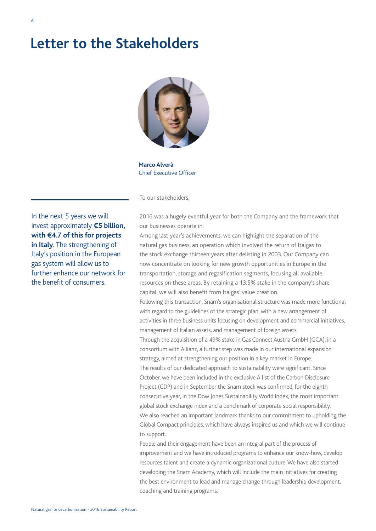## **Letter to the Stakeholders**



**Marco Alverà** Chief Executive Officer

To our stakeholders,

to support.

In the next 5 years we will invest approximately **€5 billion, with €4.7 of this for projects in Italy**. The strengthening of Italy's position in the European gas system will allow us to further enhance our network for the benefit of consumers.

2016 was a hugely eventful year for both the Company and the framework that our businesses operate in.

Among last year's achievements, we can highlight the separation of the natural gas business, an operation which involved the return of Italgas to the stock exchange thirteen years after delisting in 2003. Our Company can now concentrate on looking for new growth opportunities in Europe in the transportation, storage and regasification segments, focusing all available resources on these areas. By retaining a 13.5% stake in the company's share capital, we will also benefit from Italgas' value creation.

Following this transaction, Snam's organisational structure was made more functional with regard to the guidelines of the strategic plan, with a new arrangement of activities in three business units focusing on development and commercial initiatives, management of Italian assets, and management of foreign assets. Through the acquisition of a 49% stake in Gas Connect Austria GmbH (GCA), in a consortium with Allianz, a further step was made in our international expansion strategy, aimed at strengthening our position in a key market in Europe. The results of our dedicated approach to sustainability were significant. Since October, we have been included in the exclusive A list of the Carbon Disclosure Project (CDP) and in September the Snam stock was confirmed, for the eighth consecutive year, in the Dow Jones Sustainability World Index, the most important global stock exchange index and a benchmark of corporate social responsibility. We also reached an important landmark thanks to our commitment to upholding the Global Compact principles, which have always inspired us and which we will continue

People and their engagement have been an integral part of the process of improvement and we have introduced programs to enhance our know-how, develop resources talent and create a dynamic organizational culture. We have also started developing the Snam Academy, which will include the main initiatives for creating the best environment to lead and manage change through leadership development, coaching and training programs.